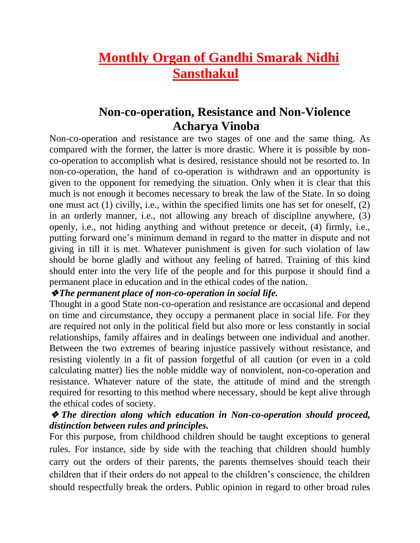# **Monthly Organ of Gandhi Smarak Nidhi Sansthakul**

## **Non-co-operation, Resistance and Non-Violence Acharya Vinoba**

Non-co-operation and resistance are two stages of one and the same thing. As compared with the former, the latter is more drastic. Where it is possible by nonco-operation to accomplish what is desired, resistance should not be resorted to. In non-co-operation, the hand of co-operation is withdrawn and an opportunity is given to the opponent for remedying the situation. Only when it is clear that this much is not enough it becomes necessary to break the law of the State. In so doing one must act (1) civilly, i.e., within the specified limits one has set for oneself, (2) in an orderly manner, i.e., not allowing any breach of discipline anywhere, (3) openly, i.e., not hiding anything and without pretence or deceit, (4) firmly, i.e., putting forward one's minimum demand in regard to the matter in dispute and not giving in till it is met. Whatever punishment is given for such violation of law should be borne gladly and without any feeling of hatred. Training of this kind should enter into the very life of the people and for this purpose it should find a permanent place in education and in the ethical codes of the nation.

## ❖*The permanent place of non-co-operation in social life.*

Thought in a good State non-co-operation and resistance are occasional and depend on time and circumstance, they occupy a permanent place in social life. For they are required not only in the political field but also more or less constantly in social relationships, family affaires and in dealings between one individual and another. Between the two extremes of bearing injustice passively without resistance, and resisting violently in a fit of passion forgetful of all caution (or even in a cold calculating matter) lies the noble middle way of nonviolent, non-co-operation and resistance. Whatever nature of the state, the attitude of mind and the strength required for resorting to this method where necessary, should be kept alive through the ethical codes of society.

## ❖ *The direction along which education in Non-co-operation should proceed, distinction between rules and principles.*

For this purpose, from childhood children should be taught exceptions to general rules. For instance, side by side with the teaching that children should humbly carry out the orders of their parents, the parents themselves should teach their children that if their orders do not appeal to the children's conscience, the children should respectfully break the orders. Public opinion in regard to other broad rules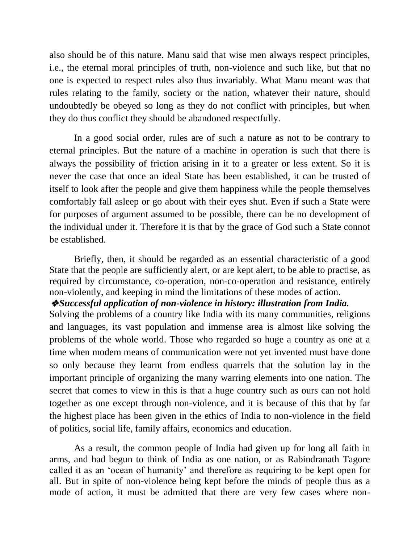also should be of this nature. Manu said that wise men always respect principles, i.e., the eternal moral principles of truth, non-violence and such like, but that no one is expected to respect rules also thus invariably. What Manu meant was that rules relating to the family, society or the nation, whatever their nature, should undoubtedly be obeyed so long as they do not conflict with principles, but when they do thus conflict they should be abandoned respectfully.

In a good social order, rules are of such a nature as not to be contrary to eternal principles. But the nature of a machine in operation is such that there is always the possibility of friction arising in it to a greater or less extent. So it is never the case that once an ideal State has been established, it can be trusted of itself to look after the people and give them happiness while the people themselves comfortably fall asleep or go about with their eyes shut. Even if such a State were for purposes of argument assumed to be possible, there can be no development of the individual under it. Therefore it is that by the grace of God such a State connot be established.

Briefly, then, it should be regarded as an essential characteristic of a good State that the people are sufficiently alert, or are kept alert, to be able to practise, as required by circumstance, co-operation, non-co-operation and resistance, entirely non-violently, and keeping in mind the limitations of these modes of action.

#### ❖*Successful application of non-violence in history: illustration from India.*

Solving the problems of a country like India with its many communities, religions and languages, its vast population and immense area is almost like solving the problems of the whole world. Those who regarded so huge a country as one at a time when modem means of communication were not yet invented must have done so only because they learnt from endless quarrels that the solution lay in the important principle of organizing the many warring elements into one nation. The secret that comes to view in this is that a huge country such as ours can not hold together as one except through non-violence, and it is because of this that by far the highest place has been given in the ethics of India to non-violence in the field of politics, social life, family affairs, economics and education.

As a result, the common people of India had given up for long all faith in arms, and had begun to think of India as one nation, or as Rabindranath Tagore called it as an 'ocean of humanity' and therefore as requiring to be kept open for all. But in spite of non-violence being kept before the minds of people thus as a mode of action, it must be admitted that there are very few cases where non-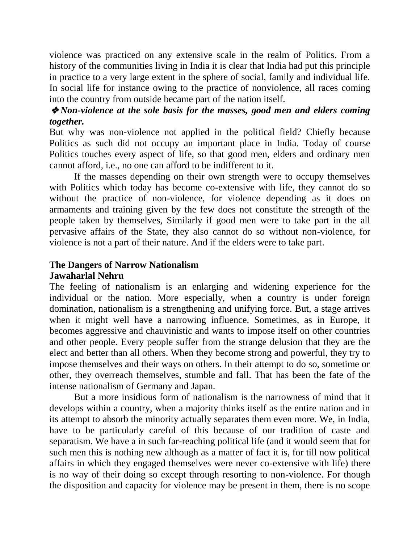violence was practiced on any extensive scale in the realm of Politics. From a history of the communities living in India it is clear that India had put this principle in practice to a very large extent in the sphere of social, family and individual life. In social life for instance owing to the practice of nonviolence, all races coming into the country from outside became part of the nation itself.

## ❖*Non-violence at the sole basis for the masses, good men and elders coming together.*

But why was non-violence not applied in the political field? Chiefly because Politics as such did not occupy an important place in India. Today of course Politics touches every aspect of life, so that good men, elders and ordinary men cannot afford, i.e., no one can afford to be indifferent to it.

If the masses depending on their own strength were to occupy themselves with Politics which today has become co-extensive with life, they cannot do so without the practice of non-violence, for violence depending as it does on armaments and training given by the few does not constitute the strength of the people taken by themselves, Similarly if good men were to take part in the all pervasive affairs of the State, they also cannot do so without non-violence, for violence is not a part of their nature. And if the elders were to take part.

## **The Dangers of Narrow Nationalism**

#### **Jawaharlal Nehru**

The feeling of nationalism is an enlarging and widening experience for the individual or the nation. More especially, when a country is under foreign domination, nationalism is a strengthening and unifying force. But, a stage arrives when it might well have a narrowing influence. Sometimes, as in Europe, it becomes aggressive and chauvinistic and wants to impose itself on other countries and other people. Every people suffer from the strange delusion that they are the elect and better than all others. When they become strong and powerful, they try to impose themselves and their ways on others. In their attempt to do so, sometime or other, they overreach themselves, stumble and fall. That has been the fate of the intense nationalism of Germany and Japan.

But a more insidious form of nationalism is the narrowness of mind that it develops within a country, when a majority thinks itself as the entire nation and in its attempt to absorb the minority actually separates them even more. We, in India, have to be particularly careful of this because of our tradition of caste and separatism. We have a in such far-reaching political life (and it would seem that for such men this is nothing new although as a matter of fact it is, for till now political affairs in which they engaged themselves were never co-extensive with life) there is no way of their doing so except through resorting to non-violence. For though the disposition and capacity for violence may be present in them, there is no scope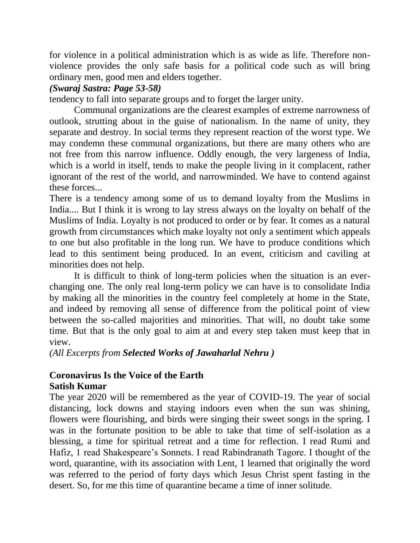for violence in a political administration which is as wide as life. Therefore nonviolence provides the only safe basis for a political code such as will bring ordinary men, good men and elders together.

## *(Swaraj Sastra: Page 53-58)*

tendency to fall into separate groups and to forget the larger unity.

Communal organizations are the clearest examples of extreme narrowness of outlook, strutting about in the guise of nationalism. In the name of unity, they separate and destroy. In social terms they represent reaction of the worst type. We may condemn these communal organizations, but there are many others who are not free from this narrow influence. Oddly enough, the very largeness of India, which is a world in itself, tends to make the people living in it complacent, rather ignorant of the rest of the world, and narrowminded. We have to contend against these forces...

There is a tendency among some of us to demand loyalty from the Muslims in India.... But I think it is wrong to lay stress always on the loyalty on behalf of the Muslims of India. Loyalty is not produced to order or by fear. It comes as a natural growth from circumstances which make loyalty not only a sentiment which appeals to one but also profitable in the long run. We have to produce conditions which lead to this sentiment being produced. In an event, criticism and caviling at minorities does not help.

It is difficult to think of long-term policies when the situation is an everchanging one. The only real long-term policy we can have is to consolidate India by making all the minorities in the country feel completely at home in the State, and indeed by removing all sense of difference from the political point of view between the so-called majorities and minorities. That will, no doubt take some time. But that is the only goal to aim at and every step taken must keep that in view.

*(All Excerpts from Selected Works of Jawaharlal Nehru )*

## **Coronavirus Is the Voice of the Earth Satish Kumar**

The year 2020 will be remembered as the year of COVID-19. The year of social distancing, lock downs and staying indoors even when the sun was shining, flowers were flourishing, and birds were singing their sweet songs in the spring. I was in the fortunate position to be able to take that time of self-isolation as a blessing, a time for spiritual retreat and a time for reflection. I read Rumi and Hafiz, 1 read Shakespeare's Sonnets. I read Rabindranath Tagore. I thought of the word, quarantine, with its association with Lent, 1 learned that originally the word was referred to the period of forty days which Jesus Christ spent fasting in the desert. So, for me this time of quarantine became a time of inner solitude.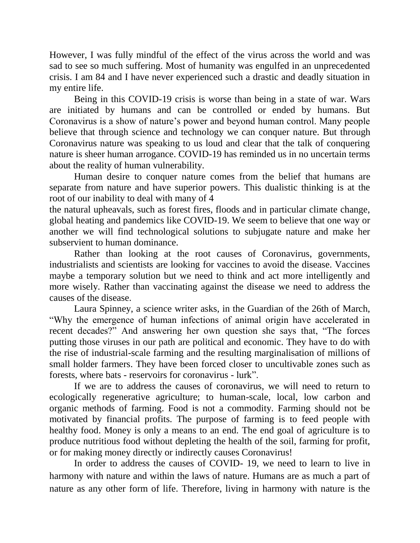However, I was fully mindful of the effect of the virus across the world and was sad to see so much suffering. Most of humanity was engulfed in an unprecedented crisis. I am 84 and I have never experienced such a drastic and deadly situation in my entire life.

Being in this COVID-19 crisis is worse than being in a state of war. Wars are initiated by humans and can be controlled or ended by humans. But Coronavirus is a show of nature's power and beyond human control. Many people believe that through science and technology we can conquer nature. But through Coronavirus nature was speaking to us loud and clear that the talk of conquering nature is sheer human arrogance. COVID-19 has reminded us in no uncertain terms about the reality of human vulnerability.

Human desire to conquer nature comes from the belief that humans are separate from nature and have superior powers. This dualistic thinking is at the root of our inability to deal with many of 4

the natural upheavals, such as forest fires, floods and in particular climate change, global heating and pandemics like COVID-19. We seem to believe that one way or another we will find technological solutions to subjugate nature and make her subservient to human dominance.

Rather than looking at the root causes of Coronavirus, governments, industrialists and scientists are looking for vaccines to avoid the disease. Vaccines maybe a temporary solution but we need to think and act more intelligently and more wisely. Rather than vaccinating against the disease we need to address the causes of the disease.

Laura Spinney, a science writer asks, in the Guardian of the 26th of March, "Why the emergence of human infections of animal origin have accelerated in recent decades?" And answering her own question she says that, "The forces putting those viruses in our path are political and economic. They have to do with the rise of industrial-scale farming and the resulting marginalisation of millions of small holder farmers. They have been forced closer to uncultivable zones such as forests, where bats - reservoirs for coronavirus - lurk".

If we are to address the causes of coronavirus, we will need to return to ecologically regenerative agriculture; to human-scale, local, low carbon and organic methods of farming. Food is not a commodity. Farming should not be motivated by financial profits. The purpose of farming is to feed people with healthy food. Money is only a means to an end. The end goal of agriculture is to produce nutritious food without depleting the health of the soil, farming for profit, or for making money directly or indirectly causes Coronavirus!

In order to address the causes of COVID- 19, we need to learn to live in harmony with nature and within the laws of nature. Humans are as much a part of nature as any other form of life. Therefore, living in harmony with nature is the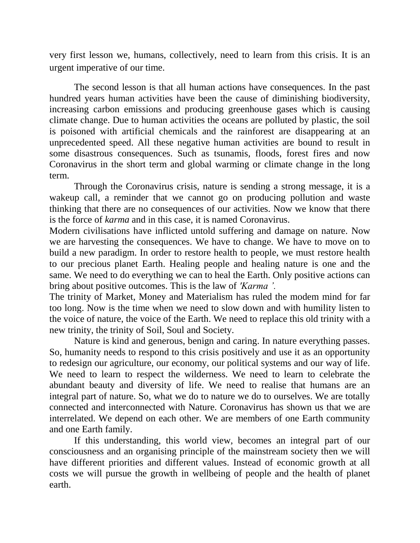very first lesson we, humans, collectively, need to learn from this crisis. It is an urgent imperative of our time.

The second lesson is that all human actions have consequences. In the past hundred years human activities have been the cause of diminishing biodiversity, increasing carbon emissions and producing greenhouse gases which is causing climate change. Due to human activities the oceans are polluted by plastic, the soil is poisoned with artificial chemicals and the rainforest are disappearing at an unprecedented speed. All these negative human activities are bound to result in some disastrous consequences. Such as tsunamis, floods, forest fires and now Coronavirus in the short term and global warming or climate change in the long term.

Through the Coronavirus crisis, nature is sending a strong message, it is a wakeup call, a reminder that we cannot go on producing pollution and waste thinking that there are no consequences of our activities. Now we know that there is the force of *karma* and in this case, it is named Coronavirus.

Modern civilisations have inflicted untold suffering and damage on nature. Now we are harvesting the consequences. We have to change. We have to move on to build a new paradigm. In order to restore health to people, we must restore health to our precious planet Earth. Healing people and healing nature is one and the same. We need to do everything we can to heal the Earth. Only positive actions can bring about positive outcomes. This is the law of *'Karma '.*

The trinity of Market, Money and Materialism has ruled the modem mind for far too long. Now is the time when we need to slow down and with humility listen to the voice of nature, the voice of the Earth. We need to replace this old trinity with a new trinity, the trinity of Soil, Soul and Society.

Nature is kind and generous, benign and caring. In nature everything passes. So, humanity needs to respond to this crisis positively and use it as an opportunity to redesign our agriculture, our economy, our political systems and our way of life. We need to learn to respect the wilderness. We need to learn to celebrate the abundant beauty and diversity of life. We need to realise that humans are an integral part of nature. So, what we do to nature we do to ourselves. We are totally connected and interconnected with Nature. Coronavirus has shown us that we are interrelated. We depend on each other. We are members of one Earth community and one Earth family.

If this understanding, this world view, becomes an integral part of our consciousness and an organising principle of the mainstream society then we will have different priorities and different values. Instead of economic growth at all costs we will pursue the growth in wellbeing of people and the health of planet earth.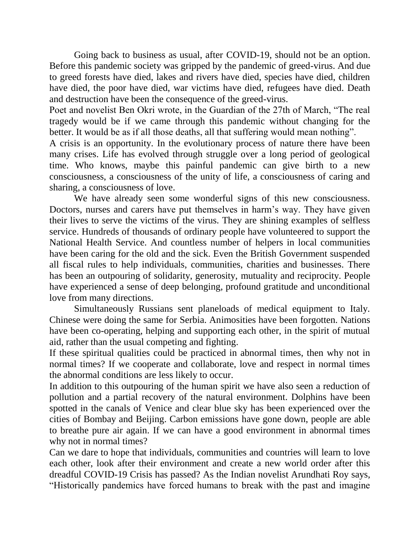Going back to business as usual, after COVID-19, should not be an option. Before this pandemic society was gripped by the pandemic of greed-virus. And due to greed forests have died, lakes and rivers have died, species have died, children have died, the poor have died, war victims have died, refugees have died. Death and destruction have been the consequence of the greed-virus.

Poet and novelist Ben Okri wrote, in the Guardian of the 27th of March, "The real tragedy would be if we came through this pandemic without changing for the better. It would be as if all those deaths, all that suffering would mean nothing".

A crisis is an opportunity. In the evolutionary process of nature there have been many crises. Life has evolved through struggle over a long period of geological time. Who knows, maybe this painful pandemic can give birth to a new consciousness, a consciousness of the unity of life, a consciousness of caring and sharing, a consciousness of love.

We have already seen some wonderful signs of this new consciousness. Doctors, nurses and carers have put themselves in harm's way. They have given their lives to serve the victims of the virus. They are shining examples of selfless service. Hundreds of thousands of ordinary people have volunteered to support the National Health Service. And countless number of helpers in local communities have been caring for the old and the sick. Even the British Government suspended all fiscal rules to help individuals, communities, charities and businesses. There has been an outpouring of solidarity, generosity, mutuality and reciprocity. People have experienced a sense of deep belonging, profound gratitude and unconditional love from many directions.

Simultaneously Russians sent planeloads of medical equipment to Italy. Chinese were doing the same for Serbia. Animosities have been forgotten. Nations have been co-operating, helping and supporting each other, in the spirit of mutual aid, rather than the usual competing and fighting.

If these spiritual qualities could be practiced in abnormal times, then why not in normal times? If we cooperate and collaborate, love and respect in normal times the abnormal conditions are less likely to occur.

In addition to this outpouring of the human spirit we have also seen a reduction of pollution and a partial recovery of the natural environment. Dolphins have been spotted in the canals of Venice and clear blue sky has been experienced over the cities of Bombay and Beijing. Carbon emissions have gone down, people are able to breathe pure air again. If we can have a good environment in abnormal times why not in normal times?

Can we dare to hope that individuals, communities and countries will learn to love each other, look after their environment and create a new world order after this dreadful COVID-19 Crisis has passed? As the Indian novelist Arundhati Roy says, "Historically pandemics have forced humans to break with the past and imagine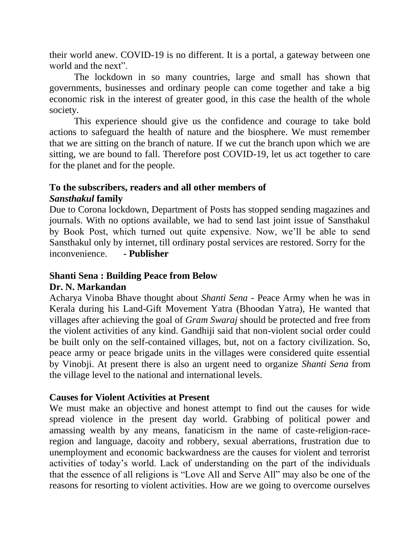their world anew. COVID-19 is no different. It is a portal, a gateway between one world and the next".

The lockdown in so many countries, large and small has shown that governments, businesses and ordinary people can come together and take a big economic risk in the interest of greater good, in this case the health of the whole society.

This experience should give us the confidence and courage to take bold actions to safeguard the health of nature and the biosphere. We must remember that we are sitting on the branch of nature. If we cut the branch upon which we are sitting, we are bound to fall. Therefore post COVID-19, let us act together to care for the planet and for the people.

## **To the subscribers, readers and all other members of** *Sansthakul* **family**

Due to Corona lockdown, Department of Posts has stopped sending magazines and journals. With no options available, we had to send last joint issue of Sansthakul by Book Post, which turned out quite expensive. Now, we'll be able to send Sansthakul only by internet, till ordinary postal services are restored. Sorry for the inconvenience. **- Publisher**

#### **Shanti Sena : Building Peace from Below Dr. N. Markandan**

Acharya Vinoba Bhave thought about *Shanti Sena -* Peace Army when he was in Kerala during his Land-Gift Movement Yatra (Bhoodan Yatra), He wanted that villages after achieving the goal of *Gram Swaraj* should be protected and free from the violent activities of any kind. Gandhiji said that non-violent social order could be built only on the self-contained villages, but, not on a factory civilization. So, peace army or peace brigade units in the villages were considered quite essential by Vinobji. At present there is also an urgent need to organize *Shanti Sena* from the village level to the national and international levels.

## **Causes for Violent Activities at Present**

We must make an objective and honest attempt to find out the causes for wide spread violence in the present day world. Grabbing of political power and amassing wealth by any means, fanaticism in the name of caste-religion-raceregion and language, dacoity and robbery, sexual aberrations, frustration due to unemployment and economic backwardness are the causes for violent and terrorist activities of today's world. Lack of understanding on the part of the individuals that the essence of all religions is "Love All and Serve All" may also be one of the reasons for resorting to violent activities. How are we going to overcome ourselves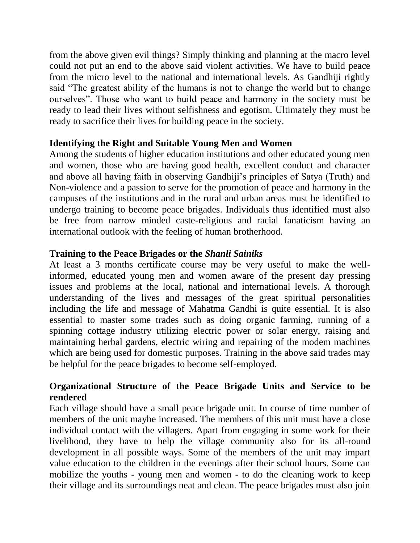from the above given evil things? Simply thinking and planning at the macro level could not put an end to the above said violent activities. We have to build peace from the micro level to the national and international levels. As Gandhiji rightly said "The greatest ability of the humans is not to change the world but to change ourselves". Those who want to build peace and harmony in the society must be ready to lead their lives without selfishness and egotism. Ultimately they must be ready to sacrifice their lives for building peace in the society.

## **Identifying the Right and Suitable Young Men and Women**

Among the students of higher education institutions and other educated young men and women, those who are having good health, excellent conduct and character and above all having faith in observing Gandhiji's principles of Satya (Truth) and Non-violence and a passion to serve for the promotion of peace and harmony in the campuses of the institutions and in the rural and urban areas must be identified to undergo training to become peace brigades. Individuals thus identified must also be free from narrow minded caste-religious and racial fanaticism having an international outlook with the feeling of human brotherhood.

## **Training to the Peace Brigades or the** *Shanli Sainiks*

At least a 3 months certificate course may be very useful to make the wellinformed, educated young men and women aware of the present day pressing issues and problems at the local, national and international levels. A thorough understanding of the lives and messages of the great spiritual personalities including the life and message of Mahatma Gandhi is quite essential. It is also essential to master some trades such as doing organic farming, running of a spinning cottage industry utilizing electric power or solar energy, raising and maintaining herbal gardens, electric wiring and repairing of the modem machines which are being used for domestic purposes. Training in the above said trades may be helpful for the peace brigades to become self-employed.

## **Organizational Structure of the Peace Brigade Units and Service to be rendered**

Each village should have a small peace brigade unit. In course of time number of members of the unit maybe increased. The members of this unit must have a close individual contact with the villagers. Apart from engaging in some work for their livelihood, they have to help the village community also for its all-round development in all possible ways. Some of the members of the unit may impart value education to the children in the evenings after their school hours. Some can mobilize the youths - young men and women - to do the cleaning work to keep their village and its surroundings neat and clean. The peace brigades must also join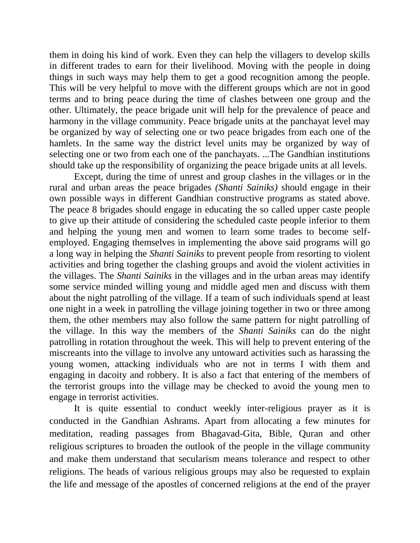them in doing his kind of work. Even they can help the villagers to develop skills in different trades to earn for their livelihood. Moving with the people in doing things in such ways may help them to get a good recognition among the people. This will be very helpful to move with the different groups which are not in good terms and to bring peace during the time of clashes between one group and the other. Ultimately, the peace brigade unit will help for the prevalence of peace and harmony in the village community. Peace brigade units at the panchayat level may be organized by way of selecting one or two peace brigades from each one of the hamlets. In the same way the district level units may be organized by way of selecting one or two from each one of the panchayats. ...The Gandhian institutions should take up the responsibility of organizing the peace brigade units at all levels.

Except, during the time of unrest and group clashes in the villages or in the rural and urban areas the peace brigades *(Shanti Sainiks)* should engage in their own possible ways in different Gandhian constructive programs as stated above. The peace 8 brigades should engage in educating the so called upper caste people to give up their attitude of considering the scheduled caste people inferior to them and helping the young men and women to learn some trades to become selfemployed. Engaging themselves in implementing the above said programs will go a long way in helping the *Shanti Sainiks* to prevent people from resorting to violent activities and bring together the clashing groups and avoid the violent activities in the villages. The *Shanti Sainiks* in the villages and in the urban areas may identify some service minded willing young and middle aged men and discuss with them about the night patrolling of the village. If a team of such individuals spend at least one night in a week in patrolling the village joining together in two or three among them, the other members may also follow the same pattern for night patrolling of the village. In this way the members of the *Shanti Sainiks* can do the night patrolling in rotation throughout the week. This will help to prevent entering of the miscreants into the village to involve any untoward activities such as harassing the young women, attacking individuals who are not in terms I with them and engaging in dacoity and robbery. It is also a fact that entering of the members of the terrorist groups into the village may be checked to avoid the young men to engage in terrorist activities.

It is quite essential to conduct weekly inter-religious prayer as it is conducted in the Gandhian Ashrams. Apart from allocating a few minutes for meditation, reading passages from Bhagavad-Gita, Bible, Quran and other religious scriptures to broaden the outlook of the people in the village community and make them understand that secularism means tolerance and respect to other religions. The heads of various religious groups may also be requested to explain the life and message of the apostles of concerned religions at the end of the prayer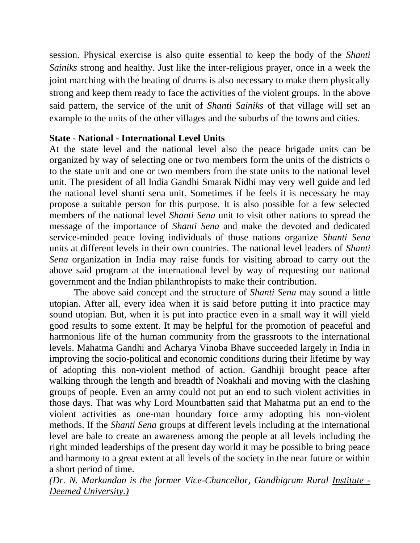session. Physical exercise is also quite essential to keep the body of the *Shanti Sainiks* strong and healthy. Just like the inter-religious prayer, once in a week the joint marching with the beating of drums is also necessary to make them physically strong and keep them ready to face the activities of the violent groups. In the above said pattern, the service of the unit of *Shanti Sainiks* of that village will set an example to the units of the other villages and the suburbs of the towns and cities.

## **State - National - International Level Units**

At the state level and the national level also the peace brigade units can be organized by way of selecting one or two members form the units of the districts o to the state unit and one or two members from the state units to the national level unit. The president of all India Gandhi Smarak Nidhi may very well guide and led the national level shanti sena unit. Sometimes if he feels it is necessary he may propose a suitable person for this purpose. It is also possible for a few selected members of the national level *Shanti Sena* unit to visit other nations to spread the message of the importance of *Shanti Sena* and make the devoted and dedicated service-minded peace loving individuals of those nations organize *Shanti Sena* units at different levels in their own countries. The national level leaders of *Shanti Sena* organization in India may raise funds for visiting abroad to carry out the above said program at the international level by way of requesting our national government and the Indian philanthropists to make their contribution.

The above said concept and the structure of *Shanti Sena* may sound a little utopian. After all, every idea when it is said before putting it into practice may sound utopian. But, when it is put into practice even in a small way it will yield good results to some extent. It may be helpful for the promotion of peaceful and harmonious life of the human community from the grassroots to the international levels. Mahatma Gandhi and Acharya Vinoba Bhave succeeded largely in India in improving the socio-political and economic conditions during their lifetime by way of adopting this non-violent method of action. Gandhiji brought peace after walking through the length and breadth of Noakhali and moving with the clashing groups of people. Even an army could not put an end to such violent activities in those days. That was why Lord Mountbatten said that Mahatma put an end to the violent activities as one-man boundary force army adopting his non-violent methods. If the *Shanti Sena* groups at different levels including at the international level are bale to create an awareness among the people at all levels including the right minded leaderships of the present day world it may be possible to bring peace and harmony to a great extent at all levels of the society in the near future or within a short period of time.

*(Dr. N. Markandan is the former Vice-Chancellor, Gandhigram Rural Institute - Deemed University.)*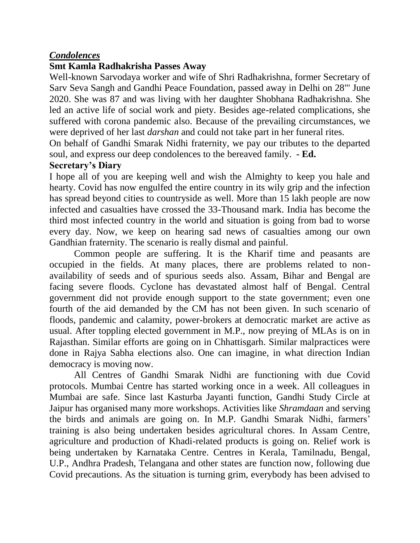## *Condolences*

## **Smt Kamla Radhakrisha Passes Away**

Well-known Sarvodaya worker and wife of Shri Radhakrishna, former Secretary of Sarv Seva Sangh and Gandhi Peace Foundation, passed away in Delhi on 28"' June 2020. She was 87 and was living with her daughter Shobhana Radhakrishna. She led an active life of social work and piety. Besides age-related complications, she suffered with corona pandemic also. Because of the prevailing circumstances, we were deprived of her last *darshan* and could not take part in her funeral rites.

On behalf of Gandhi Smarak Nidhi fraternity, we pay our tributes to the departed soul, and express our deep condolences to the bereaved family. **- Ed.**

#### **Secretary's Diary**

I hope all of you are keeping well and wish the Almighty to keep you hale and hearty. Covid has now engulfed the entire country in its wily grip and the infection has spread beyond cities to countryside as well. More than 15 lakh people are now infected and casualties have crossed the 33-Thousand mark. India has become the third most infected country in the world and situation is going from bad to worse every day. Now, we keep on hearing sad news of casualties among our own Gandhian fraternity. The scenario is really dismal and painful.

Common people are suffering. It is the Kharif time and peasants are occupied in the fields. At many places, there are problems related to nonavailability of seeds and of spurious seeds also. Assam, Bihar and Bengal are facing severe floods. Cyclone has devastated almost half of Bengal. Central government did not provide enough support to the state government; even one fourth of the aid demanded by the CM has not been given. In such scenario of floods, pandemic and calamity, power-brokers at democratic market are active as usual. After toppling elected government in M.P., now preying of MLAs is on in Rajasthan. Similar efforts are going on in Chhattisgarh. Similar malpractices were done in Rajya Sabha elections also. One can imagine, in what direction Indian democracy is moving now.

All Centres of Gandhi Smarak Nidhi are functioning with due Covid protocols. Mumbai Centre has started working once in a week. All colleagues in Mumbai are safe. Since last Kasturba Jayanti function, Gandhi Study Circle at Jaipur has organised many more workshops. Activities like *Shramdaan* and serving the birds and animals are going on. In M.P. Gandhi Smarak Nidhi, farmers' training is also being undertaken besides agricultural chores. In Assam Centre, agriculture and production of Khadi-related products is going on. Relief work is being undertaken by Karnataka Centre. Centres in Kerala, Tamilnadu, Bengal, U.P., Andhra Pradesh, Telangana and other states are function now, following due Covid precautions. As the situation is turning grim, everybody has been advised to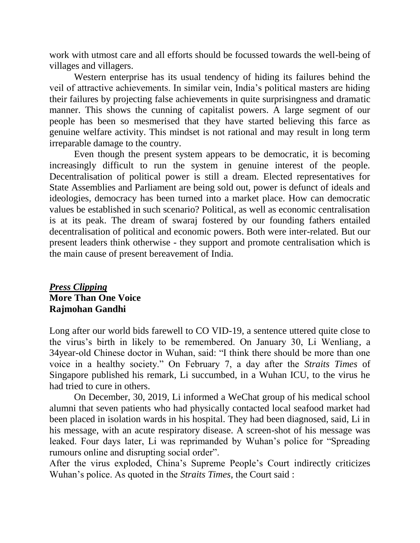work with utmost care and all efforts should be focussed towards the well-being of villages and villagers.

Western enterprise has its usual tendency of hiding its failures behind the veil of attractive achievements. In similar vein, India's political masters are hiding their failures by projecting false achievements in quite surprisingness and dramatic manner. This shows the cunning of capitalist powers. A large segment of our people has been so mesmerised that they have started believing this farce as genuine welfare activity. This mindset is not rational and may result in long term irreparable damage to the country.

Even though the present system appears to be democratic, it is becoming increasingly difficult to run the system in genuine interest of the people. Decentralisation of political power is still a dream. Elected representatives for State Assemblies and Parliament are being sold out, power is defunct of ideals and ideologies, democracy has been turned into a market place. How can democratic values be established in such scenario? Political, as well as economic centralisation is at its peak. The dream of swaraj fostered by our founding fathers entailed decentralisation of political and economic powers. Both were inter-related. But our present leaders think otherwise - they support and promote centralisation which is the main cause of present bereavement of India.

## *Press Clipping* **More Than One Voice Rajmohan Gandhi**

Long after our world bids farewell to CO VID-19, a sentence uttered quite close to the virus's birth in likely to be remembered. On January 30, Li Wenliang, a 34year-old Chinese doctor in Wuhan, said: "I think there should be more than one voice in a healthy society." On February 7, a day after the *Straits Times* of Singapore published his remark, Li succumbed, in a Wuhan ICU, to the virus he had tried to cure in others.

On December, 30, 2019, Li informed a WeChat group of his medical school alumni that seven patients who had physically contacted local seafood market had been placed in isolation wards in his hospital. They had been diagnosed, said, Li in his message, with an acute respiratory disease. A screen-shot of his message was leaked. Four days later, Li was reprimanded by Wuhan's police for "Spreading rumours online and disrupting social order".

After the virus exploded, China's Supreme People's Court indirectly criticizes Wuhan's police. As quoted in the *Straits Times,* the Court said :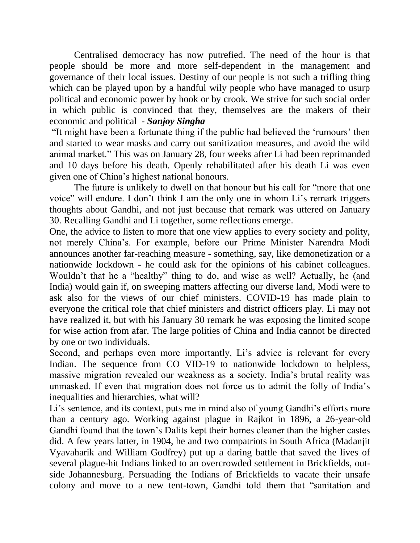Centralised democracy has now putrefied. The need of the hour is that people should be more and more self-dependent in the management and governance of their local issues. Destiny of our people is not such a trifling thing which can be played upon by a handful wily people who have managed to usurp political and economic power by hook or by crook. We strive for such social order in which public is convinced that they, themselves are the makers of their economic and political *- Sanjoy Singha*

"It might have been a fortunate thing if the public had believed the 'rumours' then and started to wear masks and carry out sanitization measures, and avoid the wild animal market." This was on January 28, four weeks after Li had been reprimanded and 10 days before his death. Openly rehabilitated after his death Li was even given one of China's highest national honours.

The future is unlikely to dwell on that honour but his call for "more that one voice" will endure. I don't think I am the only one in whom Li's remark triggers thoughts about Gandhi, and not just because that remark was uttered on January 30. Recalling Gandhi and Li together, some reflections emerge.

One, the advice to listen to more that one view applies to every society and polity, not merely China's. For example, before our Prime Minister Narendra Modi announces another far-reaching measure - something, say, like demonetization or a nationwide lockdown - he could ask for the opinions of his cabinet colleagues. Wouldn't that he a "healthy" thing to do, and wise as well? Actually, he (and India) would gain if, on sweeping matters affecting our diverse land, Modi were to ask also for the views of our chief ministers. COVID-19 has made plain to everyone the critical role that chief ministers and district officers play. Li may not have realized it, but with his January 30 remark he was exposing the limited scope for wise action from afar. The large polities of China and India cannot be directed by one or two individuals.

Second, and perhaps even more importantly, Li's advice is relevant for every Indian. The sequence from CO VID-19 to nationwide lockdown to helpless, massive migration revealed our weakness as a society. India's brutal reality was unmasked. If even that migration does not force us to admit the folly of India's inequalities and hierarchies, what will?

Li's sentence, and its context, puts me in mind also of young Gandhi's efforts more than a century ago. Working against plague in Rajkot in 1896, a 26-year-old Gandhi found that the town's Dalits kept their homes cleaner than the higher castes did. A few years latter, in 1904, he and two compatriots in South Africa (Madanjit Vyavaharik and William Godfrey) put up a daring battle that saved the lives of several plague-hit Indians linked to an overcrowded settlement in Brickfields, outside Johannesburg. Persuading the Indians of Brickfields to vacate their unsafe colony and move to a new tent-town, Gandhi told them that "sanitation and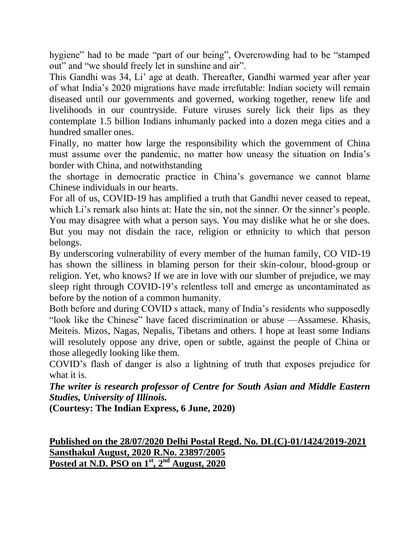hygiene" had to be made "part of our being", Overcrowding had to be "stamped out" and "we should freely let in sunshine and air".

This Gandhi was 34, Li' age at death. Thereafter, Gandhi warmed year after year of what India's 2020 migrations have made irrefutable: Indian society will remain diseased until our governments and governed, working together, renew life and livelihoods in our countryside. Future viruses surely lick their lips as they contemplate 1.5 billion Indians inhumanly packed into a dozen mega cities and a hundred smaller ones.

Finally, no matter how large the responsibility which the government of China must assume over the pandemic, no matter how uneasy the situation on India's border with China, and notwithstanding

the shortage in democratic practice in China's governance we cannot blame Chinese individuals in our hearts.

For all of us, COVID-19 has amplified a truth that Gandhi never ceased to repeat, which Li's remark also hints at: Hate the sin, not the sinner. Or the sinner's people. You may disagree with what a person says. You may dislike what he or she does. But you may not disdain the race, religion or ethnicity to which that person belongs.

By underscoring vulnerability of every member of the human family, CO VID-19 has shown the silliness in blaming person for their skin-colour, blood-group or religion. Yet, who knows? If we are in love with our slumber of prejudice, we may sleep right through COVID-19's relentless toll and emerge as uncontaminated as before by the notion of a common humanity.

Both before and during COVID s attack, many of India's residents who supposedly "look like the Chinese" have faced discrimination or abuse —Assamese. Khasis, Meiteis. Mizos, Nagas, Nepalis, Tibetans and others. I hope at least some Indians will resolutely oppose any drive, open or subtle, against the people of China or those allegedly looking like them.

COVID's flash of danger is also a lightning of truth that exposes prejudice for what it is.

*The writer is research professor of Centre for South Asian and Middle Eastern Studies, University of Illinois.*

**(Courtesy: The Indian Express, 6 June, 2020)**

**Published on the 28/07/2020 Delhi Postal Regd. No. DL(C)-01/1424/2019-2021 Sansthakul August, 2020 R.No. 23897/2005 Posted at N.D. PSO on 1st, 2nd August, 2020**